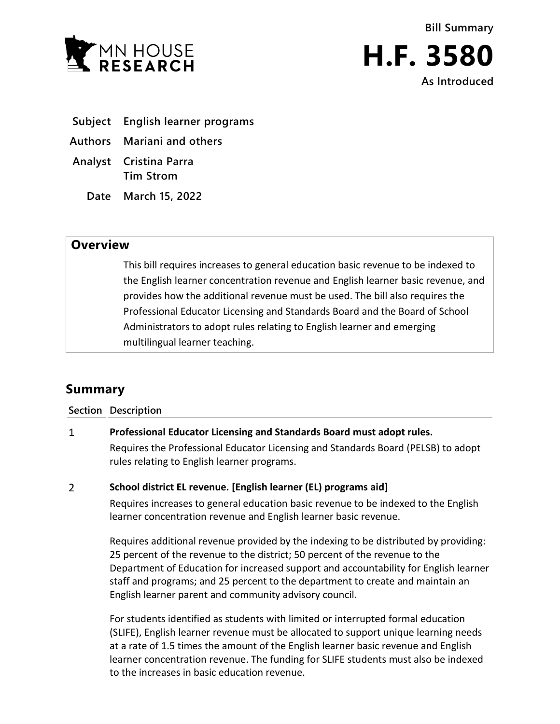



- **Subject English learner programs**
- **Authors Mariani and others**
- **Analyst Cristina Parra Tim Strom**
	- **Date March 15, 2022**

## **Overview**

This bill requires increases to general education basic revenue to be indexed to the English learner concentration revenue and English learner basic revenue, and provides how the additional revenue must be used. The bill also requires the Professional Educator Licensing and Standards Board and the Board of School Administrators to adopt rules relating to English learner and emerging multilingual learner teaching.

# **Summary**

**Section Description**

#### $\mathbf{1}$ **Professional Educator Licensing and Standards Board must adopt rules.**

Requires the Professional Educator Licensing and Standards Board (PELSB) to adopt rules relating to English learner programs.

#### $\overline{2}$ **School district EL revenue. [English learner (EL) programs aid]**

Requires increases to general education basic revenue to be indexed to the English learner concentration revenue and English learner basic revenue.

Requires additional revenue provided by the indexing to be distributed by providing: 25 percent of the revenue to the district; 50 percent of the revenue to the Department of Education for increased support and accountability for English learner staff and programs; and 25 percent to the department to create and maintain an English learner parent and community advisory council.

For students identified as students with limited or interrupted formal education (SLIFE), English learner revenue must be allocated to support unique learning needs at a rate of 1.5 times the amount of the English learner basic revenue and English learner concentration revenue. The funding for SLIFE students must also be indexed to the increases in basic education revenue.